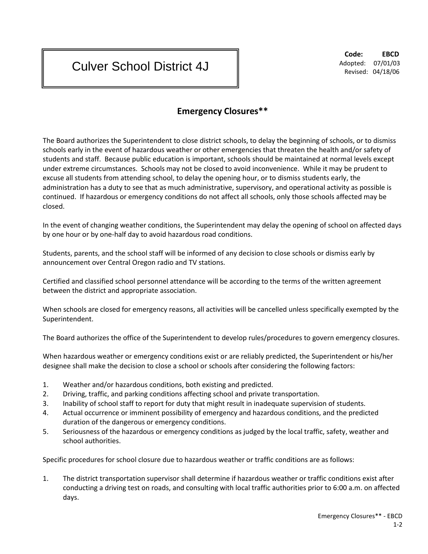## Culver School District 4J

**Code: EBCD** Adopted: 07/01/03 Revised: 04/18/06

## **Emergency Closures\*\***

The Board authorizes the Superintendent to close district schools, to delay the beginning of schools, or to dismiss schools early in the event of hazardous weather or other emergencies that threaten the health and/or safety of students and staff. Because public education is important, schools should be maintained at normal levels except under extreme circumstances. Schools may not be closed to avoid inconvenience. While it may be prudent to excuse all students from attending school, to delay the opening hour, or to dismiss students early, the administration has a duty to see that as much administrative, supervisory, and operational activity as possible is continued. If hazardous or emergency conditions do not affect all schools, only those schools affected may be closed.

In the event of changing weather conditions, the Superintendent may delay the opening of school on affected days by one hour or by one-half day to avoid hazardous road conditions.

Students, parents, and the school staff will be informed of any decision to close schools or dismiss early by announcement over Central Oregon radio and TV stations.

Certified and classified school personnel attendance will be according to the terms of the written agreement between the district and appropriate association.

When schools are closed for emergency reasons, all activities will be cancelled unless specifically exempted by the Superintendent.

The Board authorizes the office of the Superintendent to develop rules/procedures to govern emergency closures.

When hazardous weather or emergency conditions exist or are reliably predicted, the Superintendent or his/her designee shall make the decision to close a school or schools after considering the following factors:

- 1. Weather and/or hazardous conditions, both existing and predicted.
- 2. Driving, traffic, and parking conditions affecting school and private transportation.
- 3. Inability of school staff to report for duty that might result in inadequate supervision of students.
- 4. Actual occurrence or imminent possibility of emergency and hazardous conditions, and the predicted duration of the dangerous or emergency conditions.
- 5. Seriousness of the hazardous or emergency conditions as judged by the local traffic, safety, weather and school authorities.

Specific procedures for school closure due to hazardous weather or traffic conditions are as follows:

1. The district transportation supervisor shall determine if hazardous weather or traffic conditions exist after conducting a driving test on roads, and consulting with local traffic authorities prior to 6:00 a.m. on affected days.